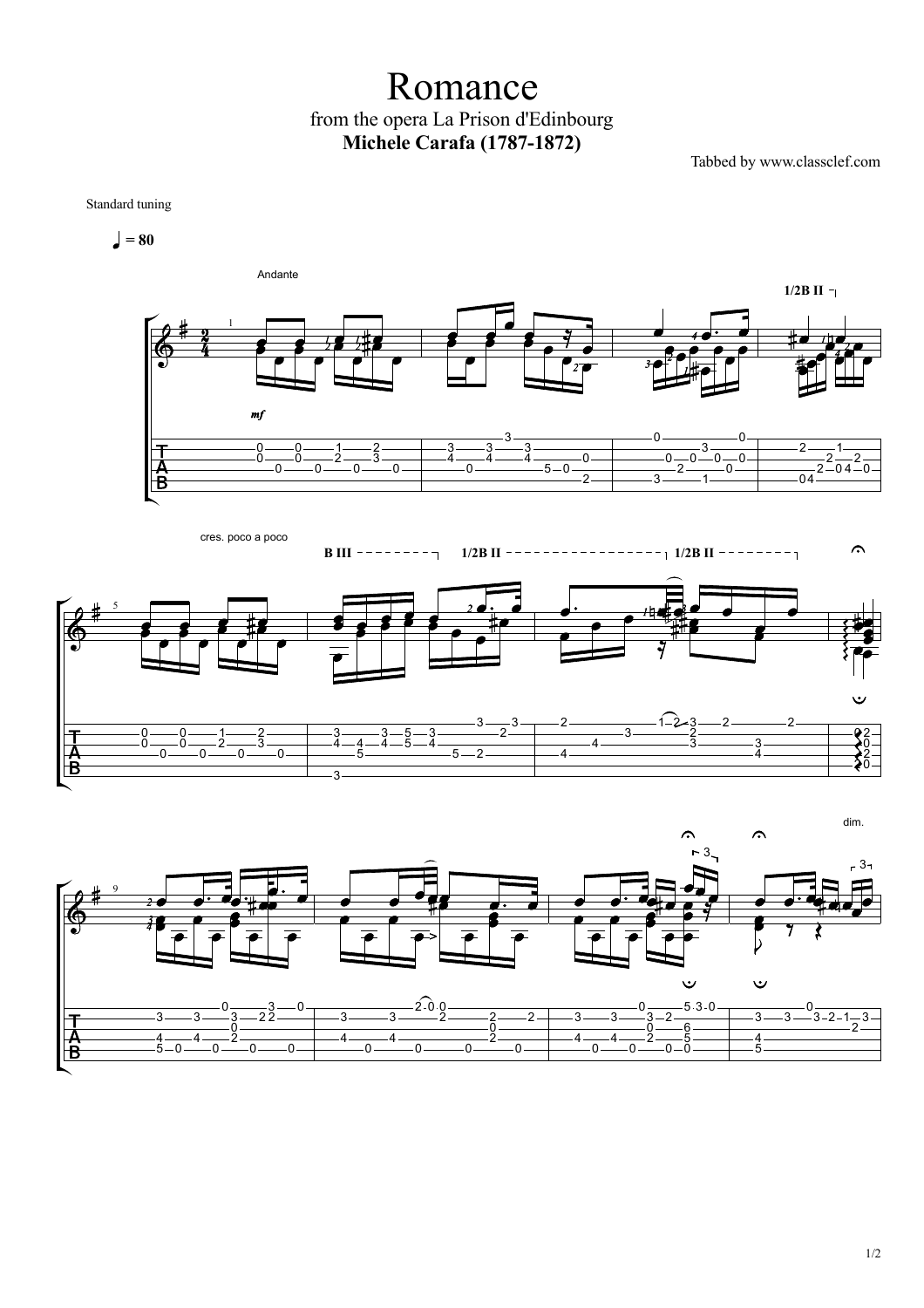## Romance from the opera La Prison d'Edinbourg **Michele Carafa (1787-1872)**

Tabbed by www.classclef.com

Standard tuning

 $= 80$ 





**B III 1/2B II 1/2B II**  $\curvearrowright$